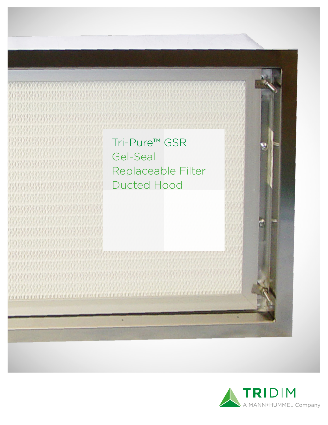Tri-Pure™ GSR Gel-Seal Replaceable Filter Ducted Hood

**All the control of the control of the control of the control of the control of the control of the control of the control of the control of the control of the control of the control of the control of the control of the con** 

All Advanced August 1994 (1995) 1994 (1995) 1994 (1995)

<u> 1989 - Johann Garden, amerikansk fysik (fysik fysik fysik fysik fysik fysik fysik fysik fysik fysik fysik fy</u>

**DEPERTURE CONTR** 

energian i

<u> arabatan sa sa</u>

na na na mara na mara

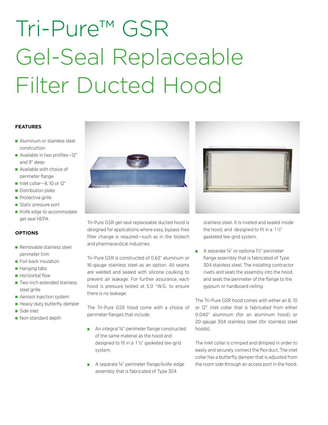# Tri-Pure™ GSR Gel-Seal Replaceable Filter Ducted Hood

### **FEATURES**

- Aluminum or stainless steel construction
- Available in two profiles-12" and 9" deep
- Available with choice of perimeter flange
- $\blacksquare$  Inlet collar-8, 10 or 12"
- Distribution plate
- Protective grille
- Static pressure port
- Knife edge to accommodate gel-seal HEPA

# **OPTIONS**

- Removable stainless steel perimeter trim
- **Foil-back insulation**
- Hanging tabs
- **Horizontal flow**
- Two-inch extended stainless steel grille
- **Aerosol injection system**
- Heavy-duty butterfly damper
- Side inlet
- Non-standard depth



Tri-Pure GSR gel-seal replaceable ducted hood is designed for applications where easy, bypass-free filter change is required—such as in the biotech and pharmaceutical industries.

Tri-Pure GSR is constructed of 0.63" aluminum or 16-gauge stainless steel as an option. All seams are welded and sealed with silicone caulking to prevent air leakage. For further assurance, each hood is pressure tested at 5.0 "W.G. to ensure there is no leakage.

The Tri-Pure GSR hood come with a choice of perimeter flanges that include:

- An integral <sup>5</sup>/<sub>8</sub>" perimeter flange constructed of the same material as the hood and designed to fit in a 1 1/2" gasketed tee-grid system.
- A separate <sup>5</sup>/<sub>8</sub>" perimeter flange/knife-edge assembly that is fabricated of Type 304



stainless steel. It is riveted and sealed inside the hood, and designed to fit in a  $1\frac{1}{2}$ " gasketed tee-grid system.

A separate <sup>5</sup>/<sub>8</sub>" or optiona 1<sup>1</sup>/<sub>2</sub>" perimeter flange assembly that is fabricated of Type 304 stainless steel. The installing contractor rivets and seals the assembly into the hood, and seals the perimeter of the flange to the gypsum or hardboard ceiling.

The Tri-Pure GSR hood comes with either an 8, 10 or 12" inlet collar that is fabricated from either 0.040" aluminum (for an aluminum hood) or 20-gauge 304 stainless steel (for stainless steel hoods).

The inlet collar is crimped and dimpled in order to easily and securely connect the flex duct. The inlet collar has a butterfly damper that is adjusted from the room side through an access port in the hood.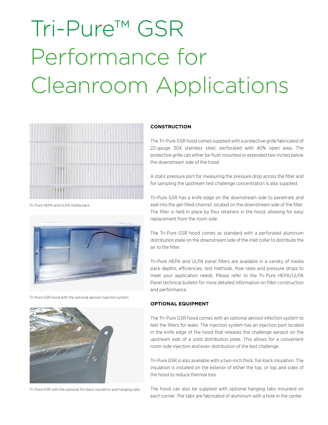# Tri-Pure™ GSR Performance for Cleanroom Applications



Tri-Pure HEPA and ULPA media pack



Tri-Pure GSR hood with the optional aerosol injection system



Tri-Pure GSR with the optional foil-back insulation and hanging tabs

### **CONSTRUCTION**

The Tri-Pure GSR hood comes supplied with a protective grille fabricated of 22-gauge 304 stainless steel, perforated with 40% open area. The protective grille can either be flush mounted or extended two inches below the downstream side of the hood.

A static pressure port for measuring the pressure drop across the filter and for sampling the upstream test challenge concentration is also supplied.

Tri-Pure GSR has a knife edge on the downstream side to penetrate and seal into the gel-filled channel, located on the downstream side of the filter. The filter is held in place by four retainers in the hood, allowing for easy replacement from the room side.

The Tri-Pure GSR hood comes as standard with a perforated aluminum distribution plate on the downstream side of the inlet collar to distribute the air to the filter.

Tri-Pure HEPA and ULPA panel filters are available in a variety of media pack depths, efficiencies, test methods, flow rates and pressure drops to meet your application needs. Please refer to the Tri-Pure HEPA/ULPA Panel technical bulletin for more detailed information on filter construction and performance.

### **OPTIONAL EQUIPMENT**

The Tri-Pure GSR hood comes with an optional aerosol infection system to test the filters for leaks. The injection system has an injection port located in the knife edge of the hood that releases the challenge aerosol on the upstream side of a solid distribution plate. This allows for a convenient room-side injection and even distribution of the test challenge.

Tri-Pure GSR is also available with a two-inch thick, foil-back insulation. The insulation is installed on the exterior of either the top, or top and sides of the hood to reduce thermal loss.

The hood can also be supplied with optional hanging tabs mounted on each corner. The tabs are fabricated of aluminum with a hole in the center.